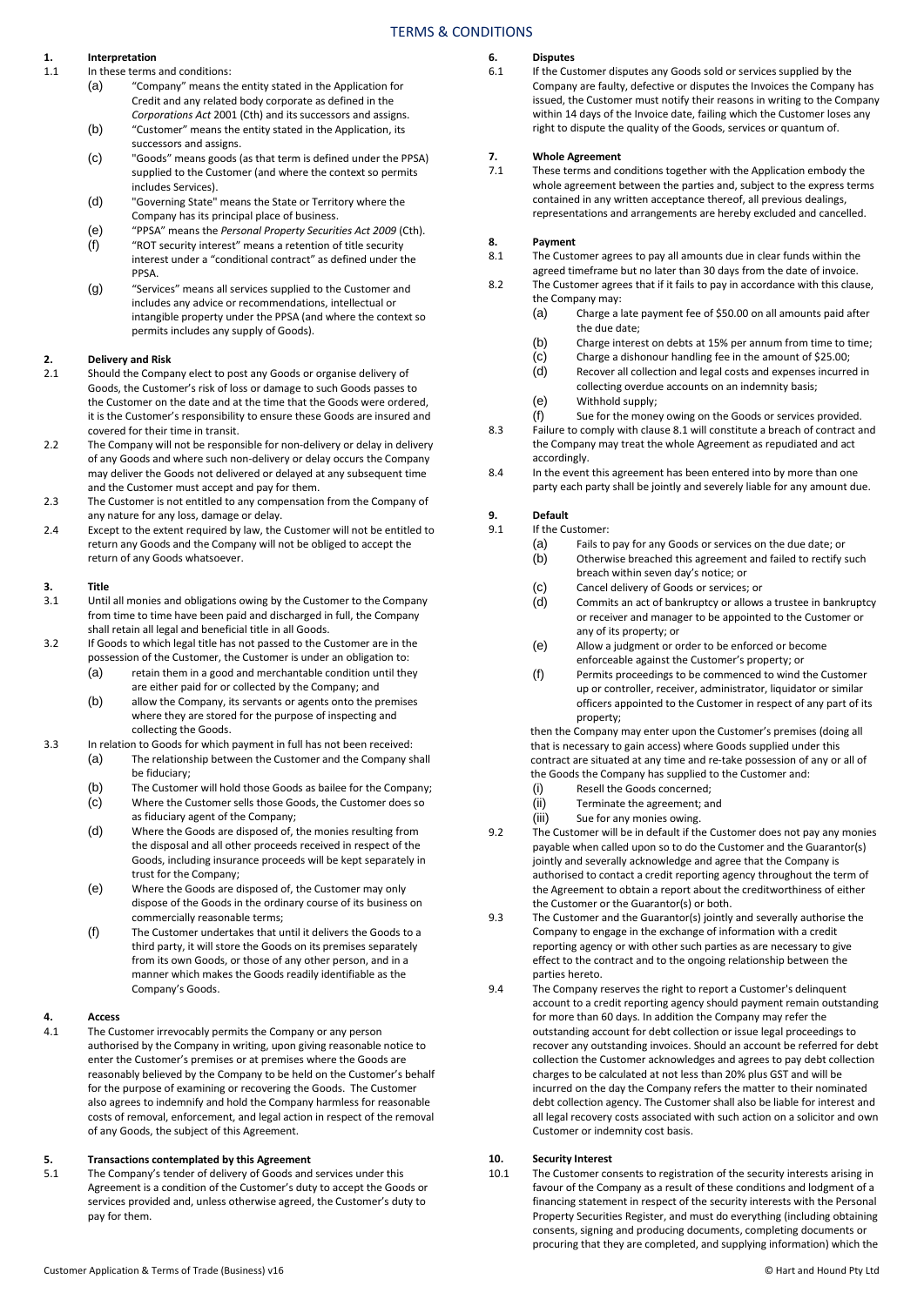### TERMS & CONDITIONS

## **1. Interpretation**

- In these terms and conditions:
	- (a) "Company" means the entity stated in the Application for Credit and any related body corporate as defined in the *Corporations Act* 2001 (Cth) and its successors and assigns.
	- (b) "Customer" means the entity stated in the Application, its successors and assigns.
	- (c) "Goods" means goods (as that term is defined under the PPSA) supplied to the Customer (and where the context so permits includes Services).
	- (d) "Governing State" means the State or Territory where the Company has its principal place of business.
	- (e) "PPSA" means the *Personal Property Securities Act 2009* (Cth). "ROT security interest" means a retention of title security
	- interest under a "conditional contract" as defined under the PPSA. (g) "Services" means all services supplied to the Customer and
	- includes any advice or recommendations, intellectual or intangible property under the PPSA (and where the context so permits includes any supply of Goods).

### **2. Delivery and Risk**

- Should the Company elect to post any Goods or organise delivery of Goods, the Customer's risk of loss or damage to such Goods passes to the Customer on the date and at the time that the Goods were ordered, it is the Customer's responsibility to ensure these Goods are insured and covered for their time in transit.
- 2.2 The Company will not be responsible for non-delivery or delay in delivery of any Goods and where such non-delivery or delay occurs the Company may deliver the Goods not delivered or delayed at any subsequent time and the Customer must accept and pay for them.
- 2.3 The Customer is not entitled to any compensation from the Company of any nature for any loss, damage or delay.
- 2.4 Except to the extent required by law, the Customer will not be entitled to return any Goods and the Company will not be obliged to accept the return of any Goods whatsoever.

## **3. Title**

- Until all monies and obligations owing by the Customer to the Company from time to time have been paid and discharged in full, the Company shall retain all legal and beneficial title in all Goods.
- 3.2 If Goods to which legal title has not passed to the Customer are in the possession of the Customer, the Customer is under an obligation to:
	- (a) retain them in a good and merchantable condition until they are either paid for or collected by the Company; and
		- (b) allow the Company, its servants or agents onto the premises where they are stored for the purpose of inspecting and collecting the Goods.
- 3.3 In relation to Goods for which payment in full has not been received:
	- (a) The relationship between the Customer and the Company shall be fiduciary;
	- (b) The Customer will hold those Goods as bailee for the Company;
	- (c) Where the Customer sells those Goods, the Customer does so as fiduciary agent of the Company;
	- (d) Where the Goods are disposed of, the monies resulting from the disposal and all other proceeds received in respect of the Goods, including insurance proceeds will be kept separately in trust for the Company;
	- (e) Where the Goods are disposed of, the Customer may only dispose of the Goods in the ordinary course of its business on commercially reasonable terms;
	- (f) The Customer undertakes that until it delivers the Goods to a third party, it will store the Goods on its premises separately from its own Goods, or those of any other person, and in a manner which makes the Goods readily identifiable as the Company's Goods.

## **4. Access**

The Customer irrevocably permits the Company or any person authorised by the Company in writing, upon giving reasonable notice to enter the Customer's premises or at premises where the Goods are reasonably believed by the Company to be held on the Customer's behalf for the purpose of examining or recovering the Goods. The Customer also agrees to indemnify and hold the Company harmless for reasonable costs of removal, enforcement, and legal action in respect of the removal of any Goods, the subject of this Agreement.

#### **5. Transactions contemplated by this Agreement**

5.1 The Company's tender of delivery of Goods and services under this Agreement is a condition of the Customer's duty to accept the Goods or services provided and, unless otherwise agreed, the Customer's duty to pay for them.

## **6. Disputes**

If the Customer disputes any Goods sold or services supplied by the Company are faulty, defective or disputes the Invoices the Company has issued, the Customer must notify their reasons in writing to the Company within 14 days of the Invoice date, failing which the Customer loses any right to dispute the quality of the Goods, services or quantum of.

### **7. Whole Agreement**

These terms and conditions together with the Application embody the whole agreement between the parties and, subject to the express terms contained in any written acceptance thereof, all previous dealings, representations and arrangements are hereby excluded and cancelled.

## **8. Payment**

The Customer agrees to pay all amounts due in clear funds within the agreed timeframe but no later than 30 days from the date of invoice.

- 8.2 The Customer agrees that if it fails to pay in accordance with this clause, the Company may:
	- (a) Charge a late payment fee of \$50.00 on all amounts paid after the due date;
	- (b) Charge interest on debts at 15% per annum from time to time;
	- (c) Charge a dishonour handling fee in the amount of \$25.00;<br>(d) Recover all collection and legal costs and expenses incurre
	- Recover all collection and legal costs and expenses incurred in
	- collecting overdue accounts on an indemnity basis;
	- (e) Withhold supply;
	- (f) Sue for the money owing on the Goods or services provided.
- 8.3 Failure to comply with clause 8.1 will constitute a breach of contract and the Company may treat the whole Agreement as repudiated and act accordingly.
- 8.4 In the event this agreement has been entered into by more than one party each party shall be jointly and severely liable for any amount due.

#### **9. Default**

- 9.1 If the Customer:
	- (a) Fails to pay for any Goods or services on the due date; or (b) Otherwise breached this agreement and failed to rectify such
		- breach within seven day's notice; or
		- (c) Cancel delivery of Goods or services; or
		- (d) Commits an act of bankruptcy or allows a trustee in bankruptcy or receiver and manager to be appointed to the Customer or any of its property; or
		- (e) Allow a judgment or order to be enforced or become enforceable against the Customer's property; or
		- (f) Permits proceedings to be commenced to wind the Customer up or controller, receiver, administrator, liquidator or similar officers appointed to the Customer in respect of any part of its property;

then the Company may enter upon the Customer's premises (doing all that is necessary to gain access) where Goods supplied under this contract are situated at any time and re-take possession of any or all of the Goods the Company has supplied to the Customer and:

- (i) Resell the Goods concerned;
- (ii) Terminate the agreement; and
- (iii) Sue for any monies owing.
- 9.2 The Customer will be in default if the Customer does not pay any monies payable when called upon so to do the Customer and the Guarantor(s) jointly and severally acknowledge and agree that the Company is authorised to contact a credit reporting agency throughout the term of the Agreement to obtain a report about the creditworthiness of either the Customer or the Guarantor(s) or both.
- 9.3 The Customer and the Guarantor(s) jointly and severally authorise the Company to engage in the exchange of information with a credit reporting agency or with other such parties as are necessary to give effect to the contract and to the ongoing relationship between the parties hereto.
- 9.4 The Company reserves the right to report a Customer's delinquent account to a credit reporting agency should payment remain outstanding for more than 60 days. In addition the Company may refer the outstanding account for debt collection or issue legal proceedings to recover any outstanding invoices. Should an account be referred for debt collection the Customer acknowledges and agrees to pay debt collection charges to be calculated at not less than 20% plus GST and will be incurred on the day the Company refers the matter to their nominated debt collection agency. The Customer shall also be liable for interest and all legal recovery costs associated with such action on a solicitor and own Customer or indemnity cost basis.

#### **10. Security Interest**

10.1 The Customer consents to registration of the security interests arising in favour of the Company as a result of these conditions and lodgment of a financing statement in respect of the security interests with the Personal Property Securities Register, and must do everything (including obtaining consents, signing and producing documents, completing documents or procuring that they are completed, and supplying information) which the